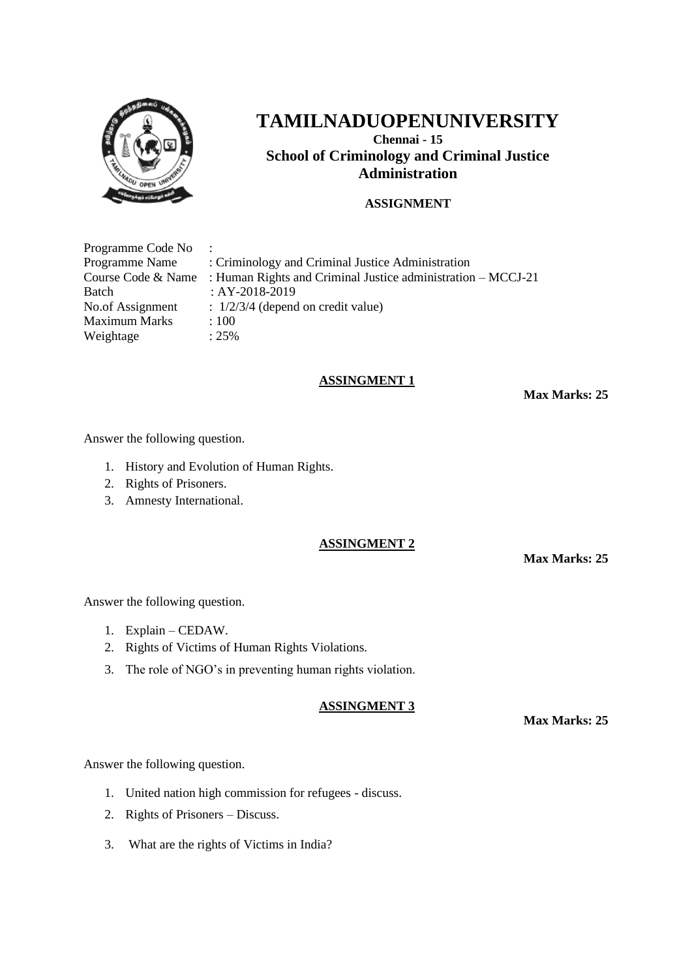

**Chennai - 15 School of Criminology and Criminal Justice Administration**

# **ASSIGNMENT**

| Programme Code No :  |                                                                                  |
|----------------------|----------------------------------------------------------------------------------|
| Programme Name       | : Criminology and Criminal Justice Administration                                |
|                      | Course Code & Name : Human Rights and Criminal Justice administration $-MCCJ-21$ |
| Batch                | : AY-2018-2019                                                                   |
| No.of Assignment     | $\therefore$ 1/2/3/4 (depend on credit value)                                    |
| <b>Maximum Marks</b> | :100                                                                             |
| Weightage            | $: 25\%$                                                                         |

#### **ASSINGMENT 1**

**Max Marks: 25**

Answer the following question.

- 1. History and Evolution of Human Rights.
- 2. Rights of Prisoners.
- 3. Amnesty International.

#### **ASSINGMENT 2**

**Max Marks: 25**

Answer the following question.

- 1. Explain CEDAW.
- 2. Rights of Victims of Human Rights Violations.
- 3. The role of NGO's in preventing human rights violation.

#### **ASSINGMENT 3**

**Max Marks: 25**

Answer the following question.

- 1. United nation high commission for refugees discuss.
- 2. Rights of Prisoners Discuss.
- 3. What are the rights of Victims in India?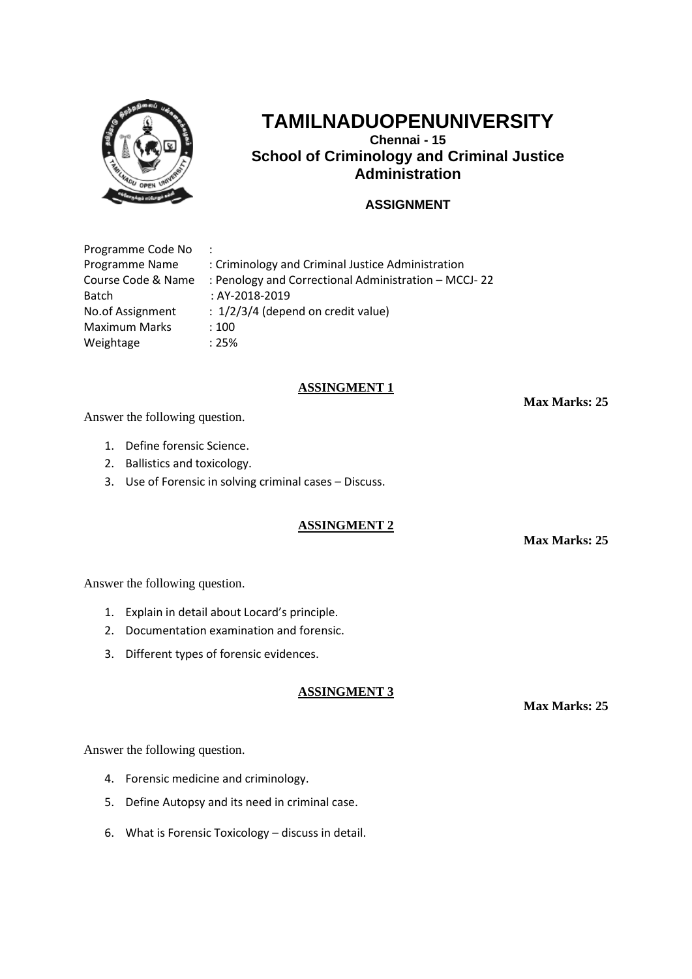

**Chennai - 15 School of Criminology and Criminal Justice Administration**

# **ASSIGNMENT**

| Programme Code No    |                                                      |
|----------------------|------------------------------------------------------|
| Programme Name       | : Criminology and Criminal Justice Administration    |
| Course Code & Name   | : Penology and Correctional Administration - MCCJ-22 |
| <b>Batch</b>         | : AY-2018-2019                                       |
| No.of Assignment     | $: 1/2/3/4$ (depend on credit value)                 |
| <b>Maximum Marks</b> | :100                                                 |
| Weightage            | :25%                                                 |

## **ASSINGMENT 1**

**Max Marks: 25**

Answer the following question.

- 1. Define forensic Science.
- 2. Ballistics and toxicology.
- 3. Use of Forensic in solving criminal cases Discuss.

# **ASSINGMENT 2**

**Max Marks: 25**

Answer the following question.

- 1. Explain in detail about Locard's principle.
- 2. Documentation examination and forensic.
- 3. Different types of forensic evidences.

## **ASSINGMENT 3**

**Max Marks: 25**

Answer the following question.

- 4. Forensic medicine and criminology.
- 5. Define Autopsy and its need in criminal case.
- 6. What is Forensic Toxicology discuss in detail.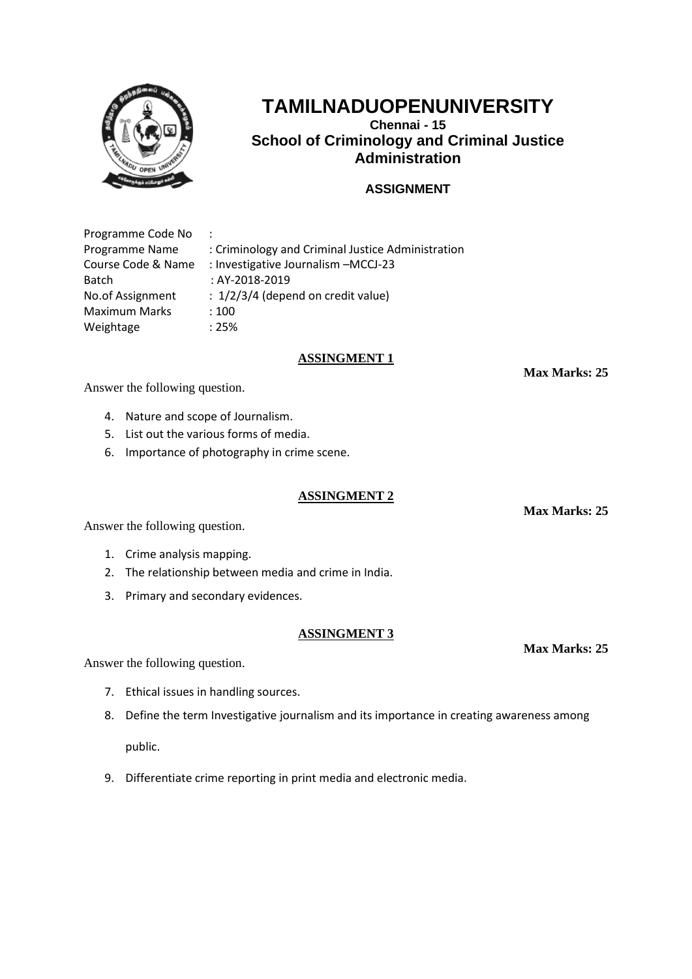

**Chennai - 15 School of Criminology and Criminal Justice Administration**

# **ASSIGNMENT**

Programme Code No : Programme Name : Criminology and Criminal Justice Administration Course Code & Name : Investigative Journalism –MCCJ-23 Batch : AY-2018-2019 No.of Assignment : 1/2/3/4 (depend on credit value) Maximum Marks : 100 Weightage : 25%

#### **ASSINGMENT 1**

**Max Marks: 25**

Answer the following question.

- 4. Nature and scope of Journalism.
- 5. List out the various forms of media.
- 6. Importance of photography in crime scene.

#### **ASSINGMENT 2**

Answer the following question.

- 1. Crime analysis mapping.
- 2. The relationship between media and crime in India.
- 3. Primary and secondary evidences.

#### **ASSINGMENT 3**

Answer the following question.

- 7. Ethical issues in handling sources.
- 8. Define the term Investigative journalism and its importance in creating awareness among

public.

9. Differentiate crime reporting in print media and electronic media.

**Max Marks: 25**

**Max Marks: 25**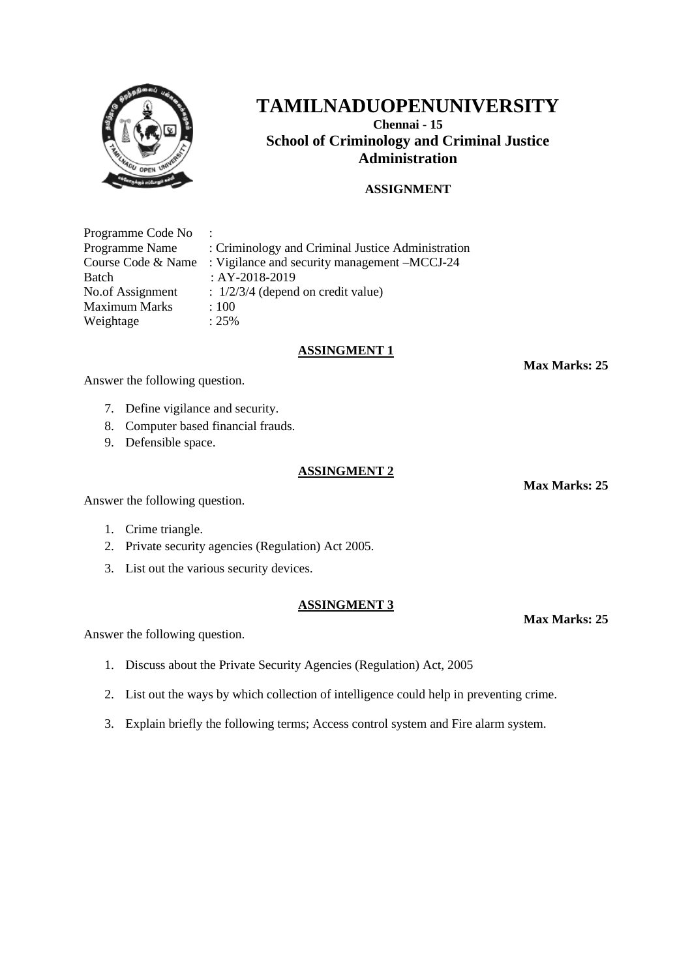

**Chennai - 15 School of Criminology and Criminal Justice Administration**

# **ASSIGNMENT**

Programme Code No : Programme Name : Criminology and Criminal Justice Administration Course Code & Name : Vigilance and security management –MCCJ-24 Batch : AY-2018-2019 No.of Assignment :  $1/2/3/4$  (depend on credit value) Maximum Marks : 100 Weightage : 25%

## **ASSINGMENT 1**

**Max Marks: 25**

Answer the following question.

- 7. Define vigilance and security.
- 8. Computer based financial frauds.
- 9. Defensible space.

#### **ASSINGMENT 2**

Answer the following question.

- 1. Crime triangle.
- 2. Private security agencies (Regulation) Act 2005.
- 3. List out the various security devices.

#### **ASSINGMENT 3**

Answer the following question.

- 1. Discuss about the Private Security Agencies (Regulation) Act, 2005
- 2. List out the ways by which collection of intelligence could help in preventing crime.
- 3. Explain briefly the following terms; Access control system and Fire alarm system.

**Max Marks: 25**

**Max Marks: 25**